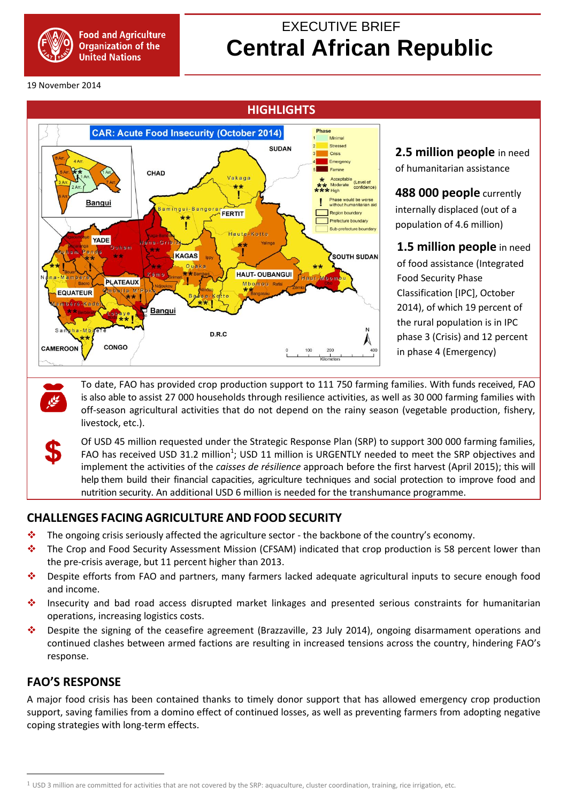

# EXECUTIVE BRIEF  **Central African Republic**

19 November 2014



**2.5 million people** in need of humanitarian assistance

**488 000 people** currently internally displaced (out of a population of 4.6 million)

**1.5 million people** in need of food assistance (Integrated Food Security Phase Classification [IPC], October 2014), of which 19 percent of the rural population is in IPC phase 3 (Crisis) and 12 percent in phase 4 (Emergency)

To date, FAO has provided crop production support to 111 750 farming families. With funds received, FAO is also able to assist 27 000 households through resilience activities, as well as 30 000 farming families with off-season agricultural activities that do not depend on the rainy season (vegetable production, fishery, livestock, etc.).

Of USD 45 million requested under the Strategic Response Plan (SRP) to support 300 000 farming families, FAO has received USD 31.2 million<sup>1</sup>; USD 11 million is URGENTLY needed to meet the SRP objectives and implement the activities of the *caisses de résilience* approach before the first harvest (April 2015); this will help them build their financial capacities, agriculture techniques and social protection to improve food and nutrition security. An additional USD 6 million is needed for the transhumance programme.

## **CHALLENGES FACING AGRICULTURE AND FOOD SECURITY**

- \* The ongoing crisis seriously affected the agriculture sector the backbone of the country's economy.
- \* The Crop and Food Security Assessment Mission (CFSAM) indicated that crop production is 58 percent lower than the pre-crisis average, but 11 percent higher than 2013.
- Despite efforts from FAO and partners, many farmers lacked adequate agricultural inputs to secure enough food and income.
- \* Insecurity and bad road access disrupted market linkages and presented serious constraints for humanitarian operations, increasing logistics costs.
- Despite the signing of the ceasefire agreement (Brazzaville, 23 July 2014), ongoing disarmament operations and continued clashes between armed factions are resulting in increased tensions across the country, hindering FAO's response.

### **FAO'S RESPONSE**

 $\overline{\phantom{a}}$ 

A major food crisis has been contained thanks to timely donor support that has allowed emergency crop production support, saving families from a domino effect of continued losses, as well as preventing farmers from adopting negative coping strategies with long-term effects.

 $1$  USD 3 million are committed for activities that are not covered by the SRP: aquaculture, cluster coordination, training, rice irrigation, etc.